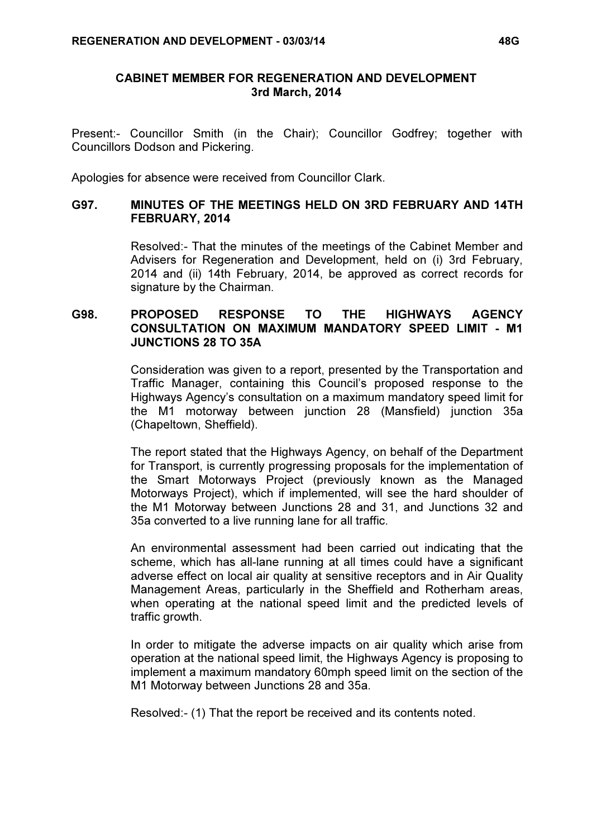## CABINET MEMBER FOR REGENERATION AND DEVELOPMENT 3rd March, 2014

Present:- Councillor Smith (in the Chair); Councillor Godfrey; together with Councillors Dodson and Pickering.

Apologies for absence were received from Councillor Clark.

## G97. MINUTES OF THE MEETINGS HELD ON 3RD FEBRUARY AND 14TH FEBRUARY, 2014

 Resolved:- That the minutes of the meetings of the Cabinet Member and Advisers for Regeneration and Development, held on (i) 3rd February, 2014 and (ii) 14th February, 2014, be approved as correct records for signature by the Chairman.

# G98. PROPOSED RESPONSE TO THE HIGHWAYS AGENCY CONSULTATION ON MAXIMUM MANDATORY SPEED LIMIT - M1 JUNCTIONS 28 TO 35A

 Consideration was given to a report, presented by the Transportation and Traffic Manager, containing this Council's proposed response to the Highways Agency's consultation on a maximum mandatory speed limit for the M1 motorway between junction 28 (Mansfield) junction 35a (Chapeltown, Sheffield).

The report stated that the Highways Agency, on behalf of the Department for Transport, is currently progressing proposals for the implementation of the Smart Motorways Project (previously known as the Managed Motorways Project), which if implemented, will see the hard shoulder of the M1 Motorway between Junctions 28 and 31, and Junctions 32 and 35a converted to a live running lane for all traffic.

An environmental assessment had been carried out indicating that the scheme, which has all-lane running at all times could have a significant adverse effect on local air quality at sensitive receptors and in Air Quality Management Areas, particularly in the Sheffield and Rotherham areas, when operating at the national speed limit and the predicted levels of traffic growth.

In order to mitigate the adverse impacts on air quality which arise from operation at the national speed limit, the Highways Agency is proposing to implement a maximum mandatory 60mph speed limit on the section of the M1 Motorway between Junctions 28 and 35a.

Resolved:- (1) That the report be received and its contents noted.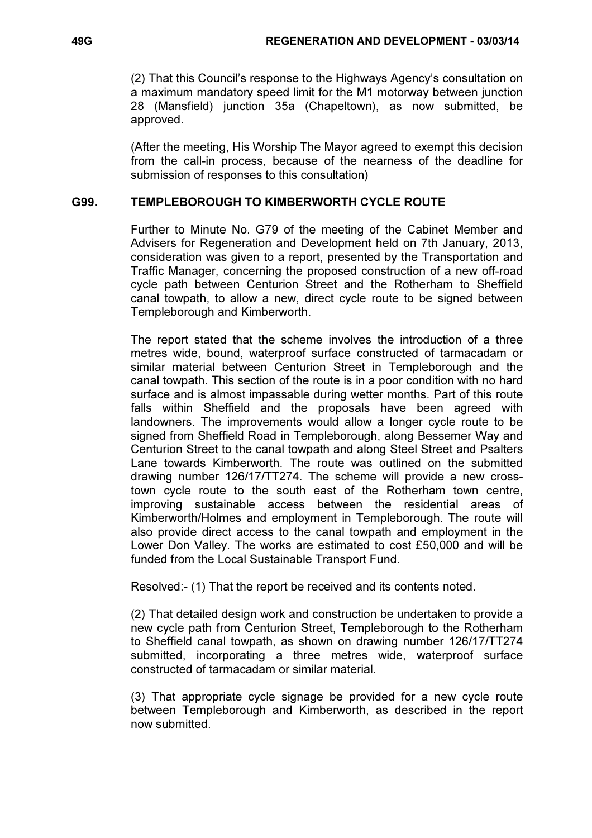(2) That this Council's response to the Highways Agency's consultation on a maximum mandatory speed limit for the M1 motorway between junction 28 (Mansfield) junction 35a (Chapeltown), as now submitted, be approved.

(After the meeting, His Worship The Mayor agreed to exempt this decision from the call-in process, because of the nearness of the deadline for submission of responses to this consultation)

# G99. TEMPLEBOROUGH TO KIMBERWORTH CYCLE ROUTE

 Further to Minute No. G79 of the meeting of the Cabinet Member and Advisers for Regeneration and Development held on 7th January, 2013, consideration was given to a report, presented by the Transportation and Traffic Manager, concerning the proposed construction of a new off-road cycle path between Centurion Street and the Rotherham to Sheffield canal towpath, to allow a new, direct cycle route to be signed between Templeborough and Kimberworth.

The report stated that the scheme involves the introduction of a three metres wide, bound, waterproof surface constructed of tarmacadam or similar material between Centurion Street in Templeborough and the canal towpath. This section of the route is in a poor condition with no hard surface and is almost impassable during wetter months. Part of this route falls within Sheffield and the proposals have been agreed with landowners. The improvements would allow a longer cycle route to be signed from Sheffield Road in Templeborough, along Bessemer Way and Centurion Street to the canal towpath and along Steel Street and Psalters Lane towards Kimberworth. The route was outlined on the submitted drawing number 126/17/TT274. The scheme will provide a new crosstown cycle route to the south east of the Rotherham town centre, improving sustainable access between the residential areas of Kimberworth/Holmes and employment in Templeborough. The route will also provide direct access to the canal towpath and employment in the Lower Don Valley. The works are estimated to cost £50,000 and will be funded from the Local Sustainable Transport Fund.

Resolved:- (1) That the report be received and its contents noted.

(2) That detailed design work and construction be undertaken to provide a new cycle path from Centurion Street, Templeborough to the Rotherham to Sheffield canal towpath, as shown on drawing number 126/17/TT274 submitted, incorporating a three metres wide, waterproof surface constructed of tarmacadam or similar material.

(3) That appropriate cycle signage be provided for a new cycle route between Templeborough and Kimberworth, as described in the report now submitted.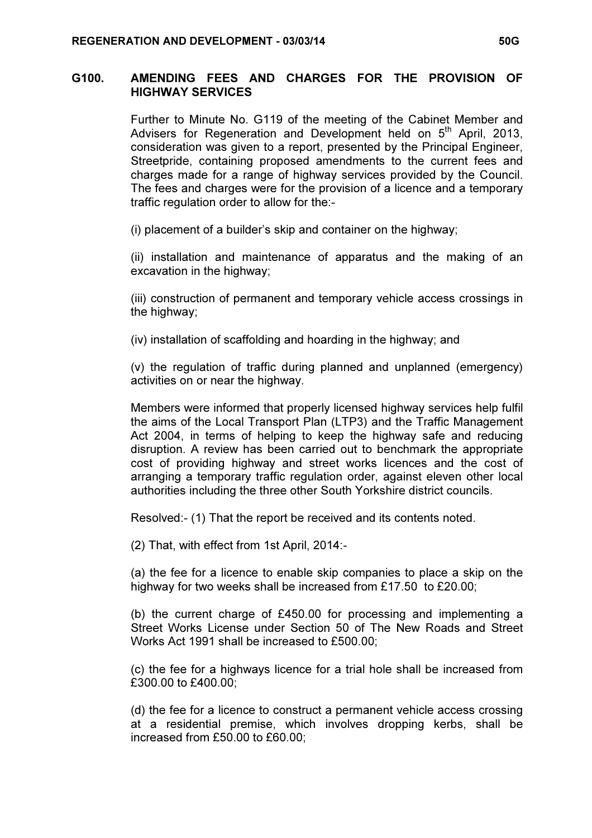## G100. AMENDING FEES AND CHARGES FOR THE PROVISION OF HIGHWAY SERVICES

 Further to Minute No. G119 of the meeting of the Cabinet Member and Advisers for Regeneration and Development held on 5<sup>th</sup> April, 2013, consideration was given to a report, presented by the Principal Engineer, Streetpride, containing proposed amendments to the current fees and charges made for a range of highway services provided by the Council. The fees and charges were for the provision of a licence and a temporary traffic regulation order to allow for the:-

(i) placement of a builder's skip and container on the highway;

(ii) installation and maintenance of apparatus and the making of an excavation in the highway;

(iii) construction of permanent and temporary vehicle access crossings in the highway;

(iv) installation of scaffolding and hoarding in the highway; and

(v) the regulation of traffic during planned and unplanned (emergency) activities on or near the highway.

Members were informed that properly licensed highway services help fulfil the aims of the Local Transport Plan (LTP3) and the Traffic Management Act 2004, in terms of helping to keep the highway safe and reducing disruption. A review has been carried out to benchmark the appropriate cost of providing highway and street works licences and the cost of arranging a temporary traffic regulation order, against eleven other local authorities including the three other South Yorkshire district councils.

Resolved:- (1) That the report be received and its contents noted.

(2) That, with effect from 1st April, 2014:-

(a) the fee for a licence to enable skip companies to place a skip on the highway for two weeks shall be increased from £17.50 to £20.00;

(b) the current charge of £450.00 for processing and implementing a Street Works License under Section 50 of The New Roads and Street Works Act 1991 shall be increased to £500.00;

(c) the fee for a highways licence for a trial hole shall be increased from £300.00 to £400.00;

(d) the fee for a licence to construct a permanent vehicle access crossing at a residential premise, which involves dropping kerbs, shall be increased from £50.00 to £60.00;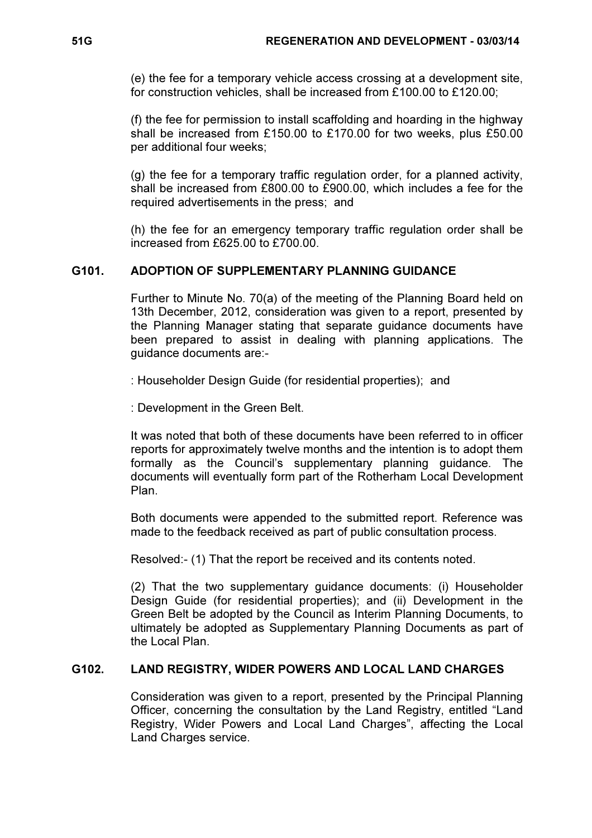(e) the fee for a temporary vehicle access crossing at a development site, for construction vehicles, shall be increased from £100.00 to £120.00;

(f) the fee for permission to install scaffolding and hoarding in the highway shall be increased from £150.00 to £170.00 for two weeks, plus £50.00 per additional four weeks;

(g) the fee for a temporary traffic regulation order, for a planned activity, shall be increased from £800.00 to £900.00, which includes a fee for the required advertisements in the press; and

(h) the fee for an emergency temporary traffic regulation order shall be increased from £625.00 to £700.00.

## G101. ADOPTION OF SUPPLEMENTARY PLANNING GUIDANCE

 Further to Minute No. 70(a) of the meeting of the Planning Board held on 13th December, 2012, consideration was given to a report, presented by the Planning Manager stating that separate guidance documents have been prepared to assist in dealing with planning applications. The guidance documents are:-

: Householder Design Guide (for residential properties); and

: Development in the Green Belt.

It was noted that both of these documents have been referred to in officer reports for approximately twelve months and the intention is to adopt them formally as the Council's supplementary planning guidance. The documents will eventually form part of the Rotherham Local Development Plan.

Both documents were appended to the submitted report. Reference was made to the feedback received as part of public consultation process.

Resolved:- (1) That the report be received and its contents noted.

(2) That the two supplementary guidance documents: (i) Householder Design Guide (for residential properties); and (ii) Development in the Green Belt be adopted by the Council as Interim Planning Documents, to ultimately be adopted as Supplementary Planning Documents as part of the Local Plan.

#### G102. LAND REGISTRY, WIDER POWERS AND LOCAL LAND CHARGES

 Consideration was given to a report, presented by the Principal Planning Officer, concerning the consultation by the Land Registry, entitled "Land Registry, Wider Powers and Local Land Charges", affecting the Local Land Charges service.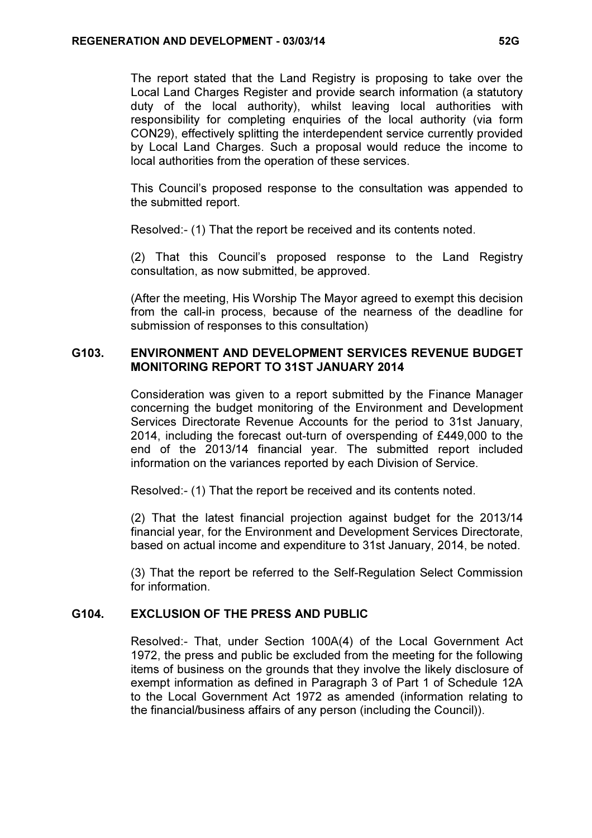The report stated that the Land Registry is proposing to take over the Local Land Charges Register and provide search information (a statutory duty of the local authority), whilst leaving local authorities with responsibility for completing enquiries of the local authority (via form CON29), effectively splitting the interdependent service currently provided by Local Land Charges. Such a proposal would reduce the income to local authorities from the operation of these services.

This Council's proposed response to the consultation was appended to the submitted report.

Resolved:- (1) That the report be received and its contents noted.

(2) That this Council's proposed response to the Land Registry consultation, as now submitted, be approved.

(After the meeting, His Worship The Mayor agreed to exempt this decision from the call-in process, because of the nearness of the deadline for submission of responses to this consultation)

## G103. ENVIRONMENT AND DEVELOPMENT SERVICES REVENUE BUDGET MONITORING REPORT TO 31ST JANUARY 2014

 Consideration was given to a report submitted by the Finance Manager concerning the budget monitoring of the Environment and Development Services Directorate Revenue Accounts for the period to 31st January, 2014, including the forecast out-turn of overspending of £449,000 to the end of the 2013/14 financial year. The submitted report included information on the variances reported by each Division of Service.

Resolved:- (1) That the report be received and its contents noted.

(2) That the latest financial projection against budget for the 2013/14 financial year, for the Environment and Development Services Directorate, based on actual income and expenditure to 31st January, 2014, be noted.

(3) That the report be referred to the Self-Regulation Select Commission for information.

# G104. EXCLUSION OF THE PRESS AND PUBLIC

 Resolved:- That, under Section 100A(4) of the Local Government Act 1972, the press and public be excluded from the meeting for the following items of business on the grounds that they involve the likely disclosure of exempt information as defined in Paragraph 3 of Part 1 of Schedule 12A to the Local Government Act 1972 as amended (information relating to the financial/business affairs of any person (including the Council)).